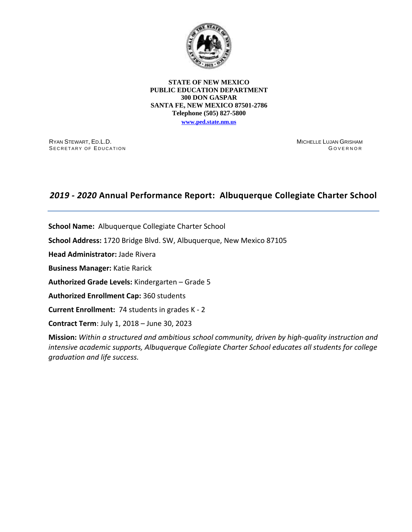

**STATE OF NEW MEXICO PUBLIC EDUCATION DEPARTMENT 300 DON GASPAR SANTA FE, NEW MEXICO 87501-2786 Telephone (505) 827-5800**

**[www.ped.state.nm.us](http://webnew.ped.state.nm.us/)**

RYAN STEWART, ED.L.D. SECRETARY OF EDUCATION MICHELLE LUJAN GRISHAM G O V E R N O R

# *2019 - 2020* **Annual Performance Report: Albuquerque Collegiate Charter School**

**School Name:** Albuquerque Collegiate Charter School **School Address:** 1720 Bridge Blvd. SW, Albuquerque, New Mexico 87105 **Head Administrator:** Jade Rivera **Business Manager:** Katie Rarick **Authorized Grade Levels:** Kindergarten – Grade 5 **Authorized Enrollment Cap:** 360 students **Current Enrollment:** 74 students in grades K - 2 **Contract Term**: July 1, 2018 – June 30, 2023

**Mission:** *Within a structured and ambitious school community, driven by high-quality instruction and intensive academic supports, Albuquerque Collegiate Charter School educates all students for college graduation and life success.*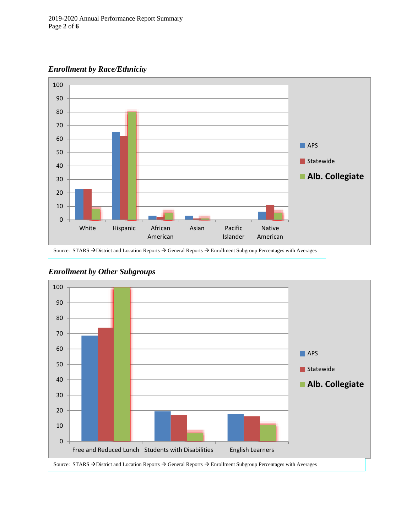2019-2020 Annual Performance Report Summary Page **2** of **6**

*Enrollment by Race/Ethnicity*



*Enrollment by Other Subgroups*

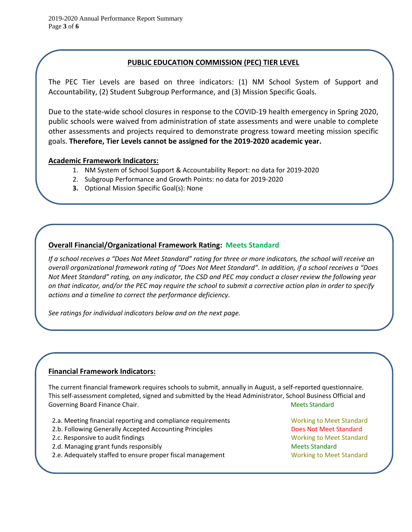#### **PUBLIC EDUCATION COMMISSION (PEC) TIER LEVEL**

The PEC Tier Levels are based on three indicators: (1) NM School System of Support and Accountability, (2) Student Subgroup Performance, and (3) Mission Specific Goals.

Due to the state-wide school closures in response to the COVID-19 health emergency in Spring 2020, public schools were waived from administration of state assessments and were unable to complete other assessments and projects required to demonstrate progress toward meeting mission specific goals. **Therefore, Tier Levels cannot be assigned for the 2019-2020 academic year.**

#### **Academic Framework Indicators:**

- 1. NM System of School Support & Accountability Report: no data for 2019-2020
- 2. Subgroup Performance and Growth Points: no data for 2019-2020
- **3.** Optional Mission Specific Goal(s): None

#### **Overall Financial/Organizational Framework Rating: Meets Standard**

*If a school receives a "Does Not Meet Standard" rating for three or more indicators, the school will receive an overall organizational framework rating of "Does Not Meet Standard". In addition, if a school receives a "Does Not Meet Standard" rating, on any indicator, the CSD and PEC may conduct a closer review the following year on that indicator, and/or the PEC may require the school to submit a corrective action plan in order to specify actions and a timeline to correct the performance deficiency.*

*See ratings for individual indicators below and on the next page.*

#### **Financial Framework Indicators:**

The current financial framework requires schools to submit, annually in August, a self-reported questionnaire. This self-assessment completed, signed and submitted by the Head Administrator, School Business Official and Governing Board Finance Chair. Manual Standard Standard Meets Standard

- 2.a. Meeting financial reporting and compliance requirements Working to Meet Standard
- 2.b. Following Generally Accepted Accounting Principles **Does Not Meet Standard**
- 2.c. Responsive to audit findings November 2.c. Responsive to audit findings November 2.c. Responsive to audit findings
- 2.d. Managing grant funds responsibly and the second second second meets Standard
- 2.e. Adequately staffed to ensure proper fiscal management Working to Meet Standard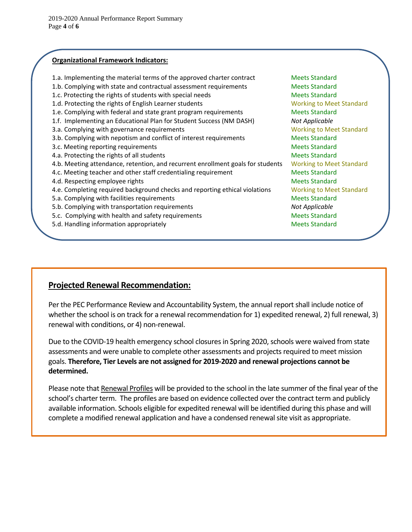#### **Organizational Framework Indicators:**

- 1.a. Implementing the material terms of the approved charter contract Meets Standard
- 1.b. Complying with state and contractual assessment requirements Meets Standard
- 1.c. Protecting the rights of students with special needs Meets Standard
- 1.d. Protecting the rights of English Learner students Theorem Controllery Working to Meet Standard
- 1.e. Complying with federal and state grant program requirements Meets Standard
- 1.f. Implementing an Educational Plan for Student Success (NM DASH) *Not Applicable*
- 3.a. Complying with governance requirements **Working to Meet Standard** Working to Meet Standard
- 3.b. Complying with nepotism and conflict of interest requirements Meets Standard
- 3.c. Meeting reporting requirements and a standard meets Standard Meets Standard
- 4.a. Protecting the rights of all students Meets Standard
- 4.b. Meeting attendance, retention, and recurrent enrollment goals for students Working to Meet Standard
- 4.c. Meeting teacher and other staff credentialing requirement Meets Standard
- A.d. Respecting employee rights Meets Standard
- 4.e. Completing required background checks and reporting ethical violations Working to Meet Standard
- 5.a. Complying with facilities requirements **Meets** Standard Meets Standard
- 5.b. Complying with transportation requirements *Not Applicable*
- 5.c. Complying with health and safety requirements The Meets Standard Meets Standard
- 5.d. Handling information appropriately methods of the Meets Standard

### **Projected Renewal Recommendation:**

Per the PEC Performance Review and Accountability System, the annual report shall include notice of whether the school is on track for a renewal recommendation for 1) expedited renewal, 2) full renewal, 3) renewal with conditions, or 4) non-renewal.

Due to the COVID-19 health emergency school closures in Spring 2020, schools were waived from state assessments and were unable to complete other assessments and projects required to meet mission goals. **Therefore, Tier Levels are not assigned for 2019-2020 and renewal projections cannot be determined.**

Please note that Renewal Profiles will be provided to the school in the late summer of the final year of the school's charter term. The profiles are based on evidence collected over the contract term and publicly available information. Schools eligible for expedited renewal will be identified during this phase and will complete a modified renewal application and have a condensed renewal site visit as appropriate.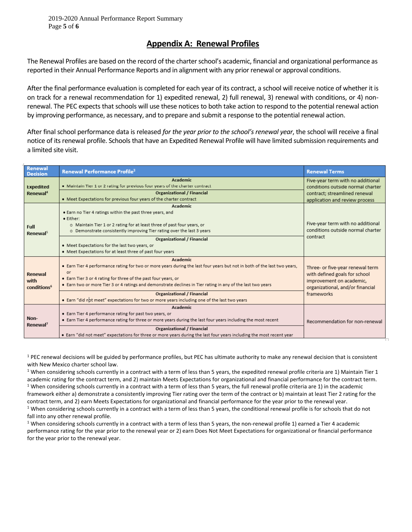2019-2020 Annual Performance Report Summary Page **5** of **6**

## **Appendix A: Renewal Profiles**

The Renewal Profiles are based on the record of the charter school's academic, financial and organizational performance as reported in their Annual Performance Reports and in alignment with any prior renewal or approval conditions.

After the final performance evaluation is completed for each year of its contract, a school will receive notice of whether it is on track for a renewal recommendation for 1) expedited renewal, 2) full renewal, 3) renewal with conditions, or 4) nonrenewal. The PEC expects that schools will use these notices to both take action to respond to the potential renewal action by improving performance, as necessary, and to prepare and submit a response to the potential renewal action.

After final school performance data is released *for the year prior to the school's renewal year*, the school will receive a final notice of its renewal profile. Schools that have an Expedited Renewal Profile will have limited submission requirements and a limited site visit.

| Renewal<br><b>Decision</b>                 | Renewal Performance Profile <sup>3</sup>                                                                                                                                                                                                                                                                                                                                                                                                                         | <b>Renewal Terms</b>                                                                                                                            |
|--------------------------------------------|------------------------------------------------------------------------------------------------------------------------------------------------------------------------------------------------------------------------------------------------------------------------------------------------------------------------------------------------------------------------------------------------------------------------------------------------------------------|-------------------------------------------------------------------------------------------------------------------------------------------------|
| <b>Expedited</b><br>Renewal <sup>4</sup>   | Academic<br>. Maintain Tier 1 or 2 rating for previous four years of the charter contract                                                                                                                                                                                                                                                                                                                                                                        | Five-year term with no additional<br>conditions outside normal charter<br>contract; streamlined renewal<br>application and review process       |
|                                            | <b>Organizational / Financial</b><br>. Meet Expectations for previous four years of the charter contract                                                                                                                                                                                                                                                                                                                                                         |                                                                                                                                                 |
| Full<br>Renewal <sup>5</sup>               | Academic<br>. Earn no Tier 4 ratings within the past three years, and<br>· Either:<br>o Maintain Tier 1 or 2 rating for at least three of past four years, or<br>o Demonstrate consistently improving Tier rating over the last 3 years<br><b>Organizational / Financial</b><br>• Meet Expectations for the last two years, or<br>• Meet Expectations for at least three of past four years                                                                      | Five-year term with no additional<br>conditions outside normal charter<br>contract                                                              |
| Renewal<br>with<br>conditions <sup>6</sup> | Academic<br>• Earn Tier 4 performance rating for two or more years during the last four years but not in both of the last two years,<br>or<br>• Earn Tier 3 or 4 rating for three of the past four years, or<br>• Earn two or more Tier 3 or 4 ratings and demonstrate declines in Tier rating in any of the last two years<br><b>Organizational / Financial</b><br>. Earn "did not meet" expectations for two or more years including one of the last two years | Three- or five-year renewal term<br>with defined goals for school<br>improvement on academic,<br>organizational, and/or financial<br>frameworks |
| Non-<br>Renewal <sup>7</sup>               | Academic<br>• Earn Tier 4 performance rating for past two years, or<br>• Earn Tier 4 performance rating for three or more years during the last four years including the most recent<br><b>Organizational / Financial</b><br>• Earn "did not meet" expectations for three or more years during the last four years including the most recent year                                                                                                                | Recommendation for non-renewal                                                                                                                  |

<sup>1</sup> PEC renewal decisions will be guided by performance profiles, but PEC has ultimate authority to make any renewal decision that is consistent with New Mexico charter school law.

 $1$  When considering schools currently in a contract with a term of less than 5 years, the expedited renewal profile criteria are 1) Maintain Tier 1 academic rating for the contract term, and 2) maintain Meets Expectations for organizational and financial performance for the contract term. <sup>1</sup> When considering schools currently in a contract with a term of less than 5 years, the full renewal profile criteria are 1) in the academic framework either a) demonstrate a consistently improving Tier rating over the term of the contract or b) maintain at least Tier 2 rating for the contract term, and 2) earn Meets Expectations for organizational and financial performance for the year prior to the renewal year.  $1$  When considering schools currently in a contract with a term of less than 5 years, the conditional renewal profile is for schools that do not fall into any other renewal profile.

<sup>1</sup> When considering schools currently in a contract with a term of less than 5 years, the non-renewal profile 1) earned a Tier 4 academic performance rating for the year prior to the renewal year or 2) earn Does Not Meet Expectations for organizational or financial performance for the year prior to the renewal year.